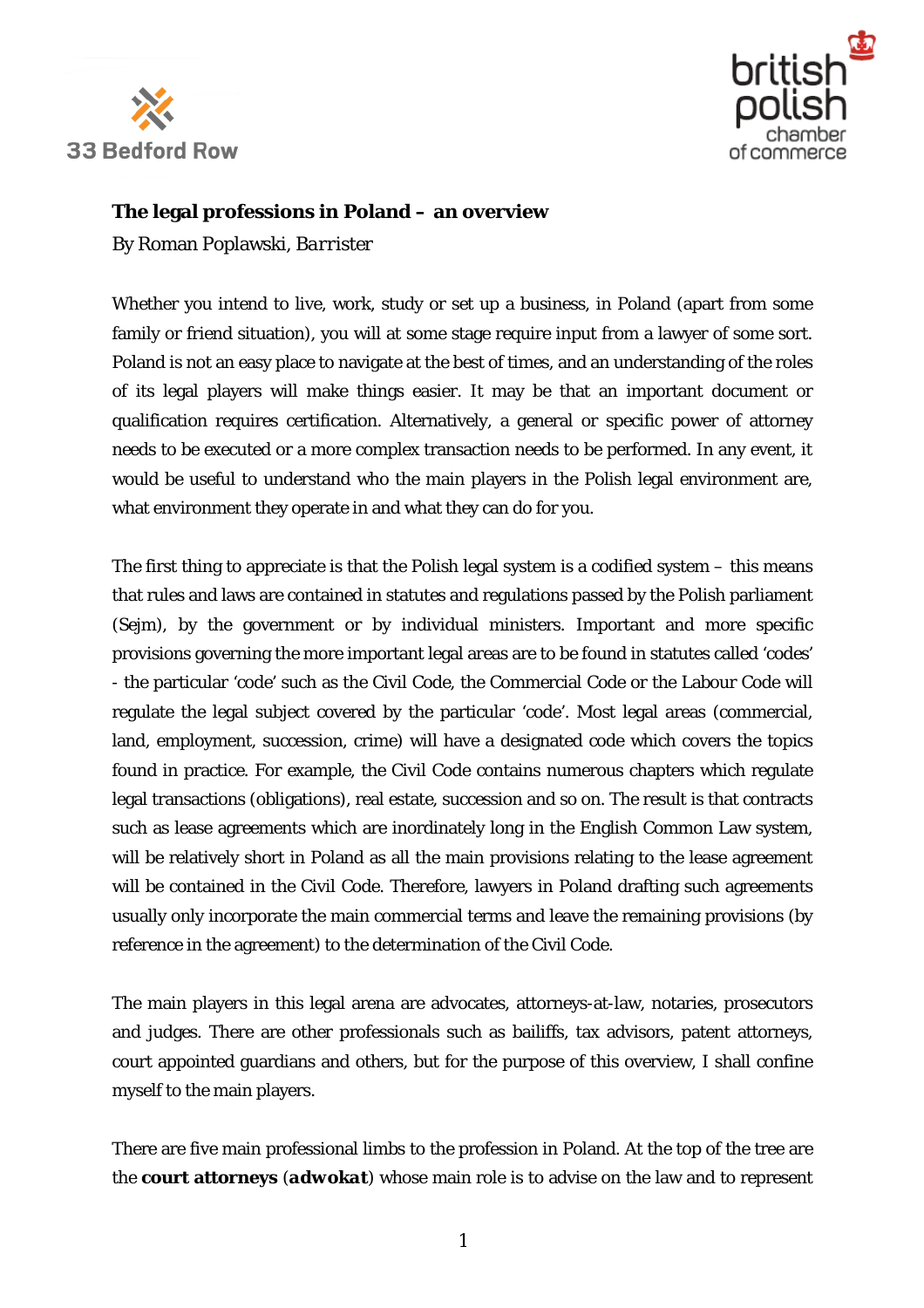



## **The legal professions in Poland – an overview**

By Roman Poplawski, *Barrister*

Whether you intend to live, work, study or set up a business, in Poland (apart from some family or friend situation), you will at some stage require input from a lawyer of some sort. Poland is not an easy place to navigate at the best of times, and an understanding of the roles of its legal players will make things easier. It may be that an important document or qualification requires certification. Alternatively, a general or specific power of attorney needs to be executed or a more complex transaction needs to be performed. In any event, it would be useful to understand who the main players in the Polish legal environment are, what environment they operate in and what they can do for you.

The first thing to appreciate is that the Polish legal system is a codified system – this means that rules and laws are contained in statutes and regulations passed by the Polish parliament (*Sejm*), by the government or by individual ministers. Important and more specific provisions governing the more important legal areas are to be found in statutes called 'codes' - the particular 'code' such as the Civil Code, the Commercial Code or the Labour Code will regulate the legal subject covered by the particular 'code'. Most legal areas (commercial, land, employment, succession, crime) will have a designated code which covers the topics found in practice. For example, the Civil Code contains numerous chapters which regulate legal transactions (obligations), real estate, succession and so on. The result is that contracts such as lease agreements which are inordinately long in the English Common Law system, will be relatively short in Poland as all the main provisions relating to the lease agreement will be contained in the Civil Code. Therefore, lawyers in Poland drafting such agreements usually only incorporate the main commercial terms and leave the remaining provisions (by reference in the agreement) to the determination of the Civil Code.

The main players in this legal arena are advocates, attorneys-at-law, notaries, prosecutors and judges. There are other professionals such as bailiffs, tax advisors, patent attorneys, court appointed guardians and others, but for the purpose of this overview, I shall confine myself to the main players.

There are five main professional limbs to the profession in Poland. At the top of the tree are the **court attorneys** (*adwokat*) whose main role is to advise on the law and to represent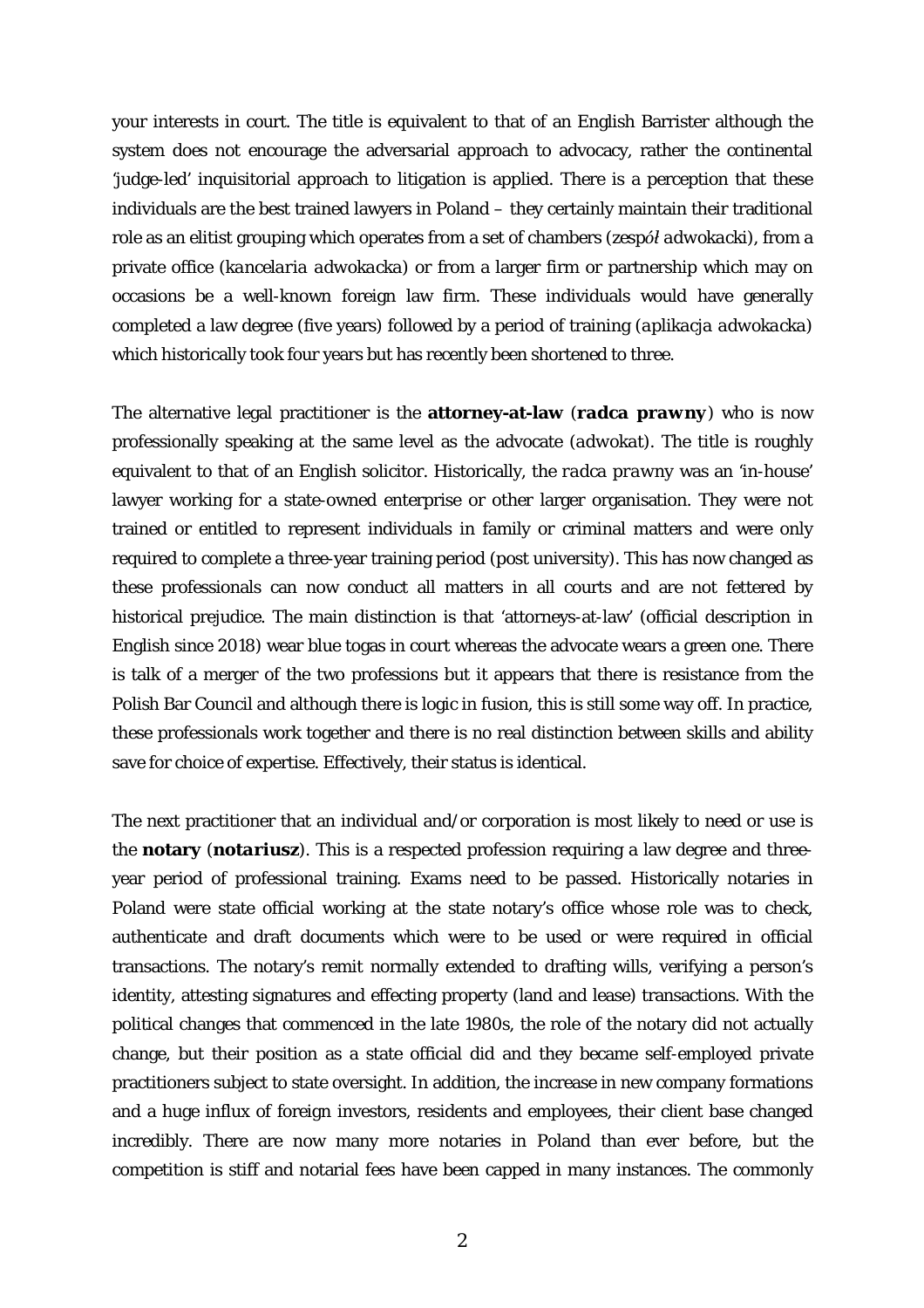your interests in court. The title is equivalent to that of an English Barrister although the system does not encourage the adversarial approach to advocacy, rather the continental 'judge-led' inquisitorial approach to litigation is applied. There is a perception that these individuals are the best trained lawyers in Poland – they certainly maintain their traditional role as an elitist grouping which operates from a set of chambers (*zespół adwokacki*), from a private office (*kancelaria adwokacka*) or from a larger firm or partnership which may on occasions be a well-known foreign law firm. These individuals would have generally completed a law degree (five years) followed by a period of training (*aplikacja adwokacka*) which historically took four years but has recently been shortened to three.

The alternative legal practitioner is the **attorney-at-law** *(radca prawny*) who is now professionally speaking at the same level as the advocate (*adwokat*). The title is roughly equivalent to that of an English solicitor. Historically, the *radca prawny* was an 'in-house' lawyer working for a state-owned enterprise or other larger organisation. They were not trained or entitled to represent individuals in family or criminal matters and were only required to complete a three-year training period (post university). This has now changed as these professionals can now conduct all matters in all courts and are not fettered by historical prejudice. The main distinction is that 'attorneys-at-law' (official description in English since 2018) wear blue togas in court whereas the advocate wears a green one. There is talk of a merger of the two professions but it appears that there is resistance from the Polish Bar Council and although there is logic in fusion, this is still some way off. In practice, these professionals work together and there is no real distinction between skills and ability save for choice of expertise. Effectively, their status is identical.

The next practitioner that an individual and/or corporation is most likely to need or use is the **notary** (*notariusz*). This is a respected profession requiring a law degree and threeyear period of professional training. Exams need to be passed. Historically notaries in Poland were state official working at the state notary's office whose role was to check, authenticate and draft documents which were to be used or were required in official transactions. The notary's remit normally extended to drafting wills, verifying a person's identity, attesting signatures and effecting property (land and lease) transactions. With the political changes that commenced in the late 1980s, the role of the notary did not actually change, but their position as a state official did and they became self-employed private practitioners subject to state oversight. In addition, the increase in new company formations and a huge influx of foreign investors, residents and employees, their client base changed incredibly. There are now many more notaries in Poland than ever before, but the competition is stiff and notarial fees have been capped in many instances. The commonly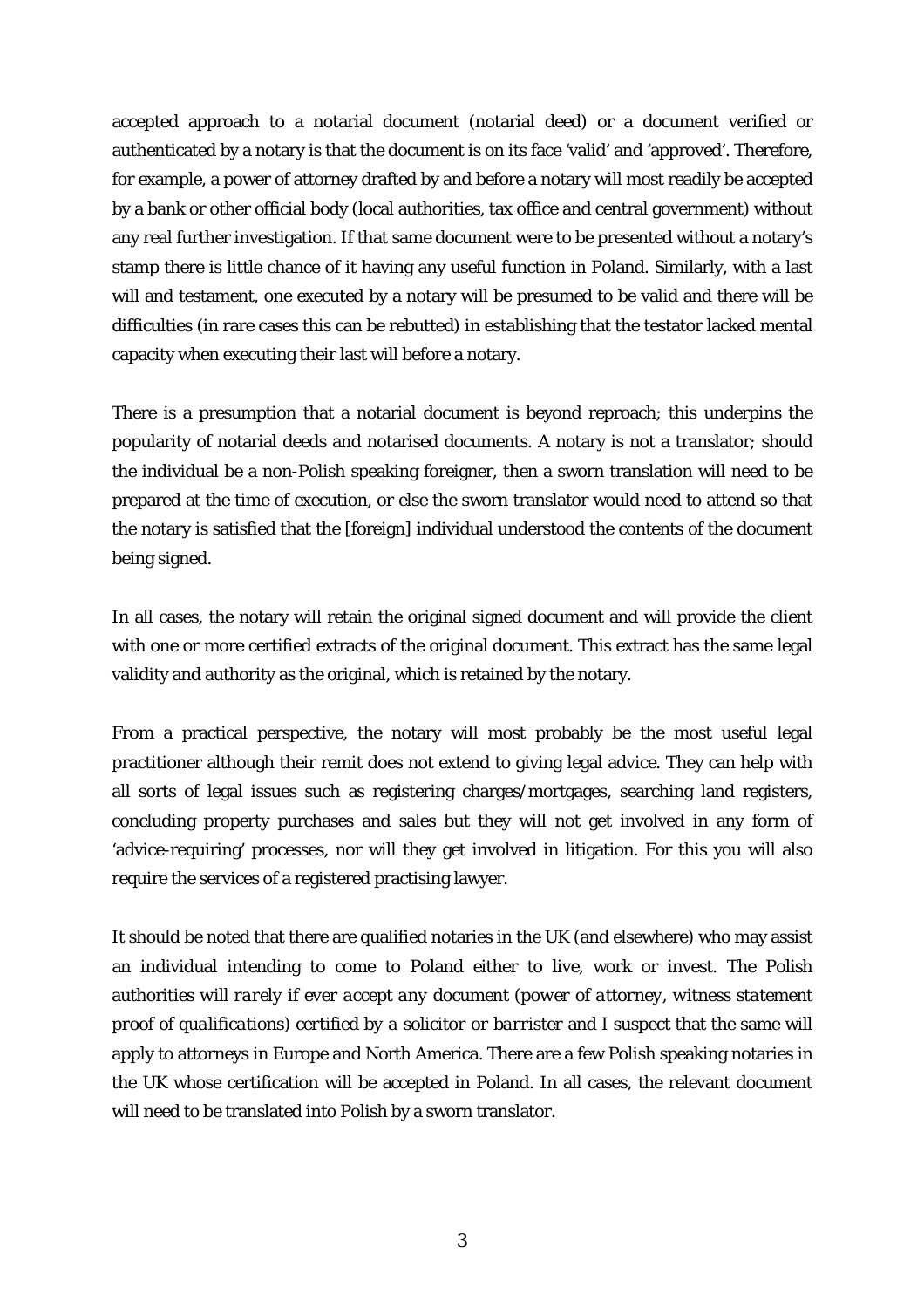accepted approach to a notarial document (notarial deed) or a document verified or authenticated by a notary is that the document is on its face 'valid' and 'approved'. Therefore, for example, a power of attorney drafted by and before a notary will most readily be accepted by a bank or other official body (local authorities, tax office and central government) without any real further investigation. If that same document were to be presented without a notary's stamp there is little chance of it having any useful function in Poland. Similarly, with a last will and testament, one executed by a notary will be presumed to be valid and there will be difficulties (in rare cases this can be rebutted) in establishing that the testator lacked mental capacity when executing their last will before a notary.

There is a presumption that a notarial document is beyond reproach; this underpins the popularity of notarial deeds and notarised documents. A notary is not a translator; should the individual be a non-Polish speaking foreigner, then a sworn translation will need to be prepared at the time of execution, or else the sworn translator would need to attend so that the notary is satisfied that the [foreign] individual understood the contents of the document being signed.

In all cases, the notary will retain the original signed document and will provide the client with one or more certified extracts of the original document. This extract has the same legal validity and authority as the original, which is retained by the notary.

From a practical perspective, the notary will most probably be the most useful legal practitioner although their remit does not extend to giving legal advice. They can help with all sorts of legal issues such as registering charges/mortgages, searching land registers, concluding property purchases and sales but they will not get involved in any form of 'advice-requiring' processes, nor will they get involved in litigation. For this you will also require the services of a registered practising lawyer.

It should be noted that there are qualified notaries in the UK (and elsewhere) who may assist an individual intending to come to Poland either to live, work or invest. The Polish authorities *will rarely if ever accept any document (power of attorney, witness statement proof of qualifications) certified by a solicitor or barrister* and I suspect that the same will apply to attorneys in Europe and North America. There are a few Polish speaking notaries in the UK whose certification will be accepted in Poland. In all cases, the relevant document will need to be translated into Polish by a sworn translator.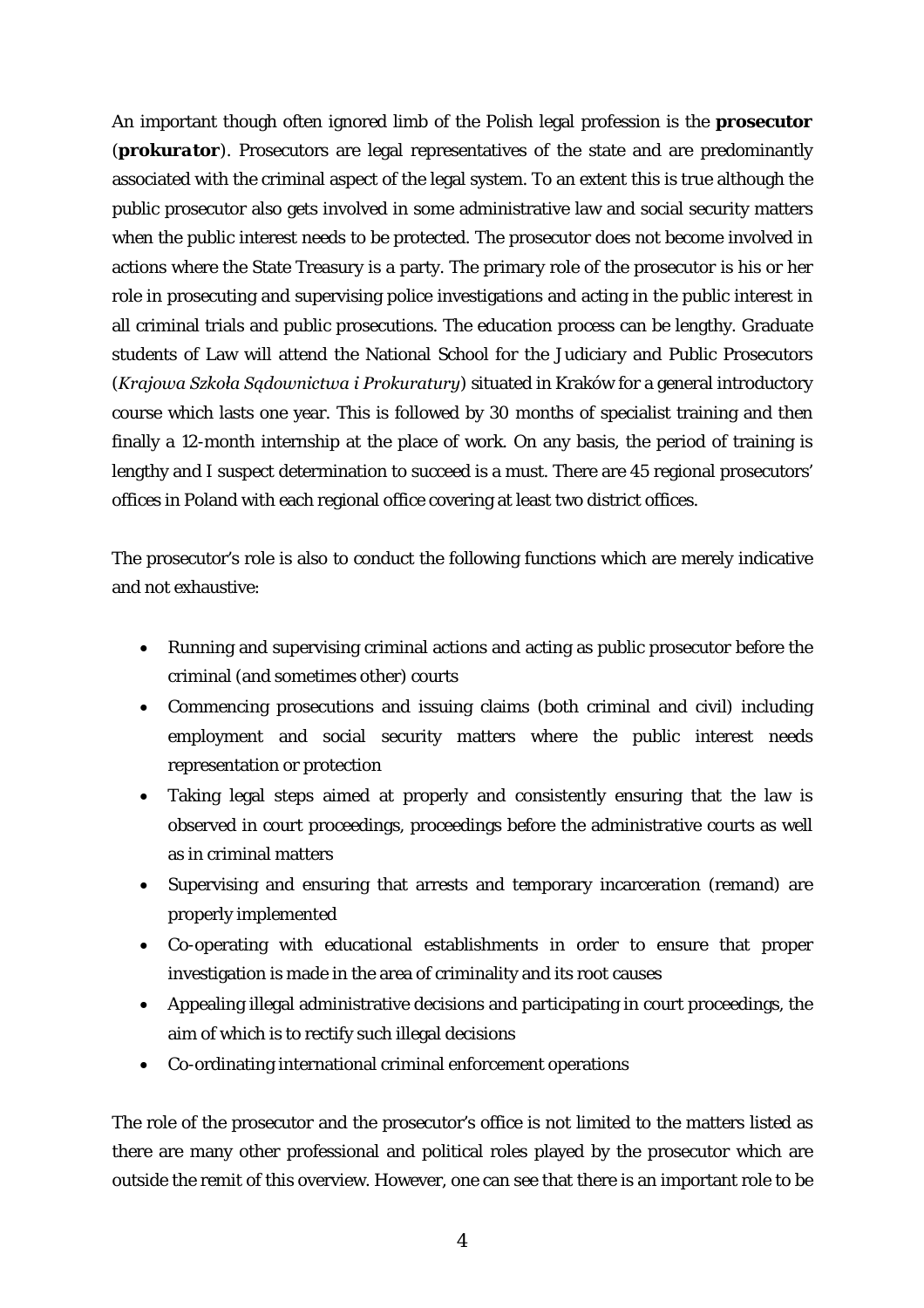An important though often ignored limb of the Polish legal profession is the **prosecutor** (*prokurator*). Prosecutors are legal representatives of the state and are predominantly associated with the criminal aspect of the legal system. To an extent this is true although the public prosecutor also gets involved in some administrative law and social security matters when the public interest needs to be protected. The prosecutor does not become involved in actions where the State Treasury is a party. The primary role of the prosecutor is his or her role in prosecuting and supervising police investigations and acting in the public interest in all criminal trials and public prosecutions. The education process can be lengthy. Graduate students of Law will attend the National School for the Judiciary and Public Prosecutors (*Krajowa Szkoła Sądownictwa i Prokuratury*) situated in Kraków for a general introductory course which lasts one year. This is followed by 30 months of specialist training and then finally a 12-month internship at the place of work. On any basis, the period of training is lengthy and I suspect determination to succeed is a must. There are 45 regional prosecutors' offices in Poland with each regional office covering at least two district offices.

The prosecutor's role is also to conduct the following functions which are merely indicative and not exhaustive:

- Running and supervising criminal actions and acting as public prosecutor before the criminal (and sometimes other) courts
- Commencing prosecutions and issuing claims (both criminal and civil) including employment and social security matters where the public interest needs representation or protection
- Taking legal steps aimed at properly and consistently ensuring that the law is observed in court proceedings, proceedings before the administrative courts as well as in criminal matters
- Supervising and ensuring that arrests and temporary incarceration (remand) are properly implemented
- Co-operating with educational establishments in order to ensure that proper investigation is made in the area of criminality and its root causes
- Appealing illegal administrative decisions and participating in court proceedings, the aim of which is to rectify such illegal decisions
- Co-ordinating international criminal enforcement operations

The role of the prosecutor and the prosecutor's office is not limited to the matters listed as there are many other professional and political roles played by the prosecutor which are outside the remit of this overview. However, one can see that there is an important role to be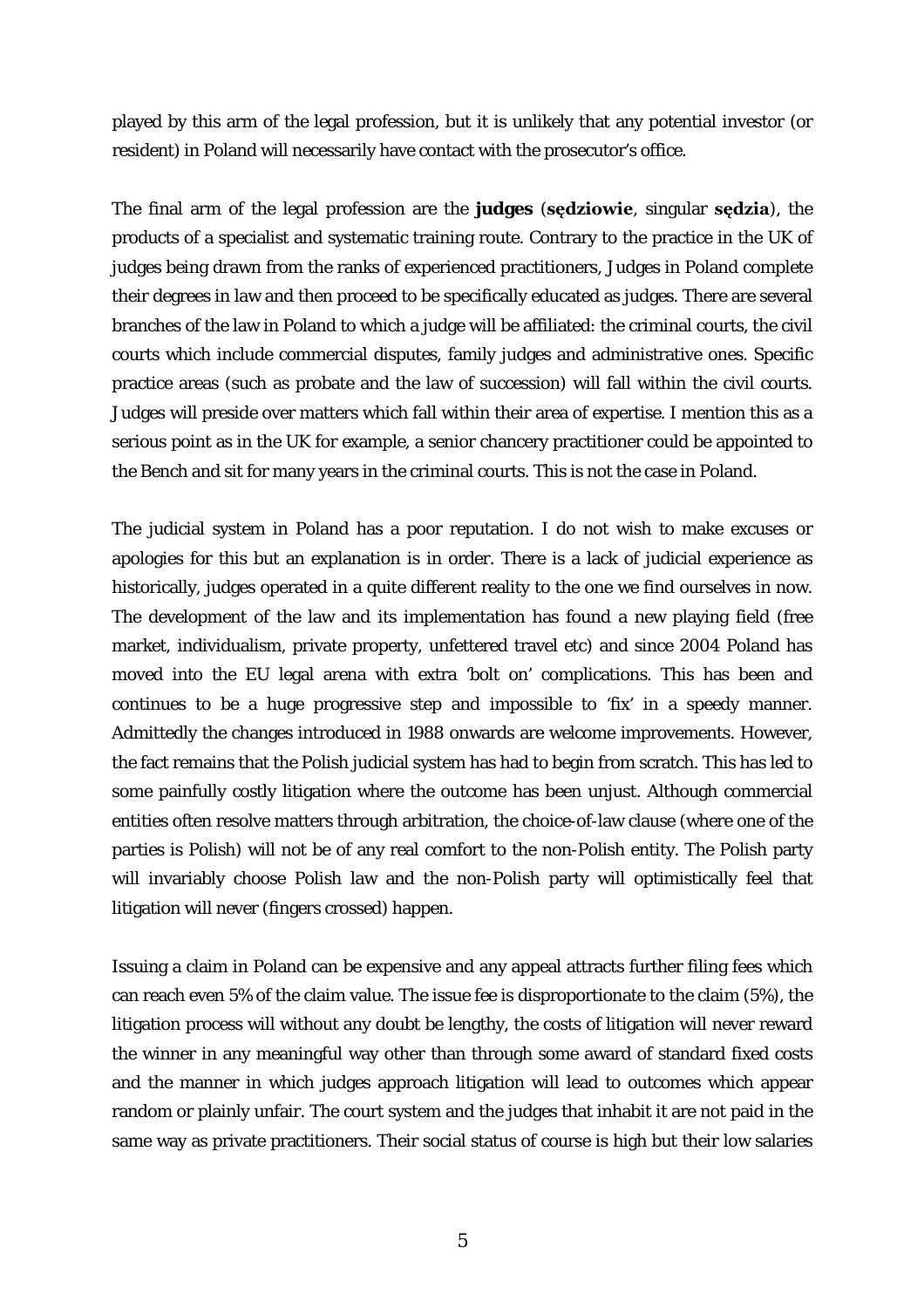played by this arm of the legal profession, but it is unlikely that any potential investor (or resident) in Poland will necessarily have contact with the prosecutor's office.

The final arm of the legal profession are the **judges** (**sędziowie**, singular **sędzia**), the products of a specialist and systematic training route. Contrary to the practice in the UK of judges being drawn from the ranks of experienced practitioners, Judges in Poland complete their degrees in law and then proceed to be specifically educated as judges. There are several branches of the law in Poland to which a judge will be affiliated: the criminal courts, the civil courts which include commercial disputes, family judges and administrative ones. Specific practice areas (such as probate and the law of succession) will fall within the civil courts. Judges will preside over matters which fall within their area of expertise. I mention this as a serious point as in the UK for example, a senior chancery practitioner could be appointed to the Bench and sit for many years in the criminal courts. This is not the case in Poland.

The judicial system in Poland has a poor reputation. I do not wish to make excuses or apologies for this but an explanation is in order. There is a lack of judicial experience as historically, judges operated in a quite different reality to the one we find ourselves in now. The development of the law and its implementation has found a new playing field (free market, individualism, private property, unfettered travel etc) and since 2004 Poland has moved into the EU legal arena with extra 'bolt on' complications. This has been and continues to be a huge progressive step and impossible to 'fix' in a speedy manner. Admittedly the changes introduced in 1988 onwards are welcome improvements. However, the fact remains that the Polish judicial system has had to begin from scratch. This has led to some painfully costly litigation where the outcome has been unjust. Although commercial entities often resolve matters through arbitration, the choice-of-law clause (where one of the parties is Polish) will not be of any real comfort to the non-Polish entity. The Polish party will invariably choose Polish law and the non-Polish party will optimistically feel that litigation will never (fingers crossed) happen.

Issuing a claim in Poland can be expensive and any appeal attracts further filing fees which can reach even 5% of the claim value. The issue fee is disproportionate to the claim (5%), the litigation process will without any doubt be lengthy, the costs of litigation will never reward the winner in any meaningful way other than through some award of standard fixed costs and the manner in which judges approach litigation will lead to outcomes which appear random or plainly unfair. The court system and the judges that inhabit it are not paid in the same way as private practitioners. Their social status of course is high but their low salaries